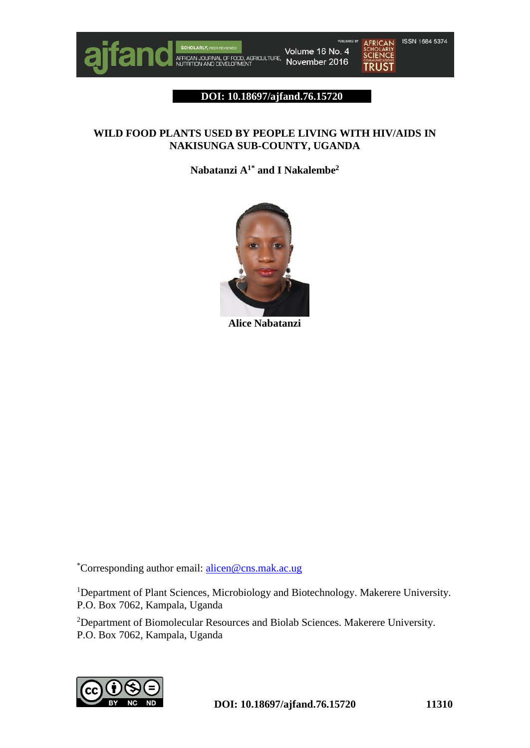

Volume 16 No. 4 SCROLARLY, RESISTING<br>AFRICAN JOURNAL OF FOOD, AGRICULTURE,<br>NUTRITION AND DEVELOPMENT November 2016



#### **DOI: 10.18697/ajfand.76.15720**

# **WILD FOOD PLANTS USED BY PEOPLE LIVING WITH HIV/AIDS IN NAKISUNGA SUB-COUNTY, UGANDA**

**Nabatanzi A1\* and I Nakalembe<sup>2</sup>**



**Alice Nabatanzi**

\*Corresponding author email: [alicen@cns.mak.ac.ug](mailto:alicen@cns.mak.ac.ug)

<sup>1</sup>Department of Plant Sciences, Microbiology and Biotechnology. Makerere University. P.O. Box 7062, Kampala, Uganda

<sup>2</sup>Department of Biomolecular Resources and Biolab Sciences. Makerere University. P.O. Box 7062, Kampala, Uganda

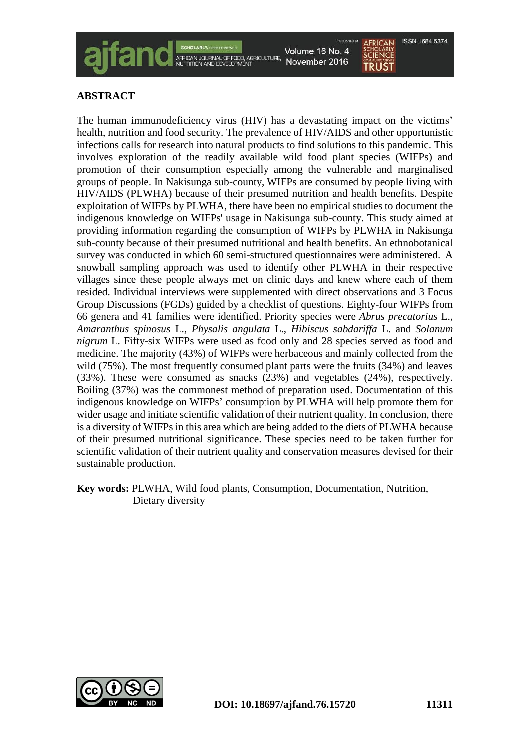**ISSN 1684 5374** 

# **ABSTRACT**

The human immunodeficiency virus (HIV) has a devastating impact on the victims' health, nutrition and food security. The prevalence of HIV/AIDS and other opportunistic infections calls for research into natural products to find solutions to this pandemic. This involves exploration of the readily available wild food plant species (WIFPs) and promotion of their consumption especially among the vulnerable and marginalised groups of people. In Nakisunga sub-county, WIFPs are consumed by people living with HIV/AIDS (PLWHA) because of their presumed nutrition and health benefits. Despite exploitation of WIFPs by PLWHA, there have been no empirical studies to document the indigenous knowledge on WIFPs' usage in Nakisunga sub-county. This study aimed at providing information regarding the consumption of WIFPs by PLWHA in Nakisunga sub-county because of their presumed nutritional and health benefits. An ethnobotanical survey was conducted in which 60 semi-structured questionnaires were administered. A snowball sampling approach was used to identify other PLWHA in their respective villages since these people always met on clinic days and knew where each of them resided. Individual interviews were supplemented with direct observations and 3 Focus Group Discussions (FGDs) guided by a checklist of questions. Eighty-four WIFPs from 66 genera and 41 families were identified. Priority species were *Abrus precatorius* L., *Amaranthus spinosus* L., *Physalis angulata* L., *Hibiscus sabdariffa* L. and *Solanum nigrum* L. Fifty-six WIFPs were used as food only and 28 species served as food and medicine. The majority (43%) of WIFPs were herbaceous and mainly collected from the wild (75%). The most frequently consumed plant parts were the fruits (34%) and leaves (33%). These were consumed as snacks (23%) and vegetables (24%), respectively. Boiling (37%) was the commonest method of preparation used. Documentation of this indigenous knowledge on WIFPs' consumption by PLWHA will help promote them for wider usage and initiate scientific validation of their nutrient quality. In conclusion, there is a diversity of WIFPs in this area which are being added to the diets of PLWHA because of their presumed nutritional significance. These species need to be taken further for scientific validation of their nutrient quality and conservation measures devised for their sustainable production.

AFRICAN JOURNAL OF FOOD, AGRICULTURE

**Key words:** PLWHA, Wild food plants, Consumption, Documentation, Nutrition, Dietary diversity

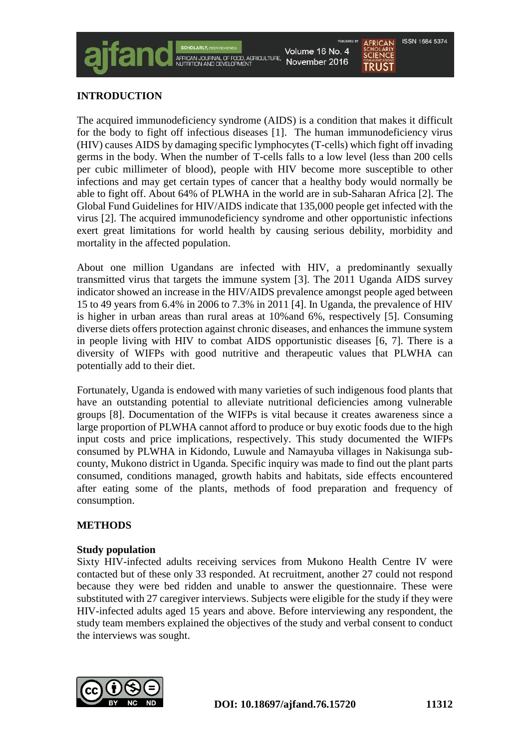# **INTRODUCTION**

The acquired immunodeficiency syndrome (AIDS) is a condition that makes it difficult for the body to fight off infectious diseases [1]. The human immunodeficiency virus (HIV) causes AIDS by damaging specific lymphocytes (T-cells) which fight off invading germs in the body. When the number of T-cells falls to a low level (less than 200 cells per cubic millimeter of blood), people with HIV become more susceptible to other infections and may get certain types of cancer that a healthy body would normally be able to fight off. About 64% of PLWHA in the world are in sub-Saharan Africa [2]. The Global Fund Guidelines for HIV/AIDS indicate that 135,000 people get infected with the virus [2]. The acquired immunodeficiency syndrome and other opportunistic infections exert great limitations for world health by causing serious debility, morbidity and mortality in the affected population.

**AFRICAN JOURNAL OF FOOD, AGRICULTURE**<br>NUTRITION AND DEVELOPMENT

About one million Ugandans are infected with HIV, a predominantly sexually transmitted virus that targets the immune system [3]. The 2011 Uganda AIDS survey indicator showed an increase in the HIV/AIDS prevalence amongst people aged between 15 to 49 years from 6.4% in 2006 to 7.3% in 2011 [4]. In Uganda, the prevalence of HIV is higher in urban areas than rural areas at 10%and 6%, respectively [5]. Consuming diverse diets offers protection against chronic diseases, and enhances the immune system in people living with HIV to combat AIDS opportunistic diseases [6, 7]. There is a diversity of WIFPs with good nutritive and therapeutic values that PLWHA can potentially add to their diet.

Fortunately, Uganda is endowed with many varieties of such indigenous food plants that have an outstanding potential to alleviate nutritional deficiencies among vulnerable groups [8]. Documentation of the WIFPs is vital because it creates awareness since a large proportion of PLWHA cannot afford to produce or buy exotic foods due to the high input costs and price implications, respectively. This study documented the WIFPs consumed by PLWHA in Kidondo, Luwule and Namayuba villages in Nakisunga subcounty, Mukono district in Uganda. Specific inquiry was made to find out the plant parts consumed, conditions managed, growth habits and habitats, side effects encountered after eating some of the plants, methods of food preparation and frequency of consumption.

### **METHODS**

#### **Study population**

Sixty HIV-infected adults receiving services from Mukono Health Centre IV were contacted but of these only 33 responded. At recruitment, another 27 could not respond because they were bed ridden and unable to answer the questionnaire. These were substituted with 27 caregiver interviews. Subjects were eligible for the study if they were HIV-infected adults aged 15 years and above. Before interviewing any respondent, the study team members explained the objectives of the study and verbal consent to conduct the interviews was sought.

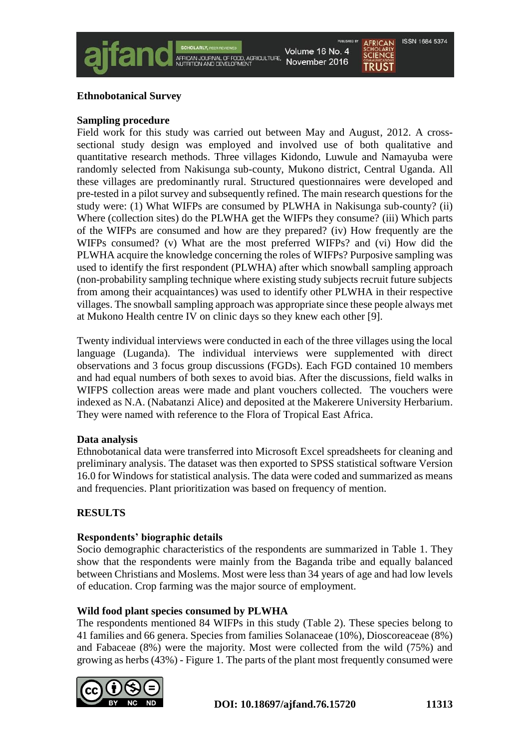

# **Ethnobotanical Survey**

#### **Sampling procedure**

Field work for this study was carried out between May and August, 2012. A crosssectional study design was employed and involved use of both qualitative and quantitative research methods. Three villages Kidondo, Luwule and Namayuba were randomly selected from Nakisunga sub-county, Mukono district, Central Uganda. All these villages are predominantly rural. Structured questionnaires were developed and pre-tested in a pilot survey and subsequently refined. The main research questions for the study were: (1) What WIFPs are consumed by PLWHA in Nakisunga sub-county? (ii) Where (collection sites) do the PLWHA get the WIFPs they consume? (iii) Which parts of the WIFPs are consumed and how are they prepared? (iv) How frequently are the WIFPs consumed? (v) What are the most preferred WIFPs? and (vi) How did the PLWHA acquire the knowledge concerning the roles of WIFPs? Purposive sampling was used to identify the first respondent (PLWHA) after which snowball sampling approach (non-probability sampling technique where existing study subjects recruit future subjects from among their acquaintances) was used to identify other PLWHA in their respective villages. The snowball sampling approach was appropriate since these people always met at Mukono Health centre IV on clinic days so they knew each other [9].

Twenty individual interviews were conducted in each of the three villages using the local language (Luganda). The individual interviews were supplemented with direct observations and 3 focus group discussions (FGDs). Each FGD contained 10 members and had equal numbers of both sexes to avoid bias. After the discussions, field walks in WIFPS collection areas were made and plant vouchers collected. The vouchers were indexed as N.A. (Nabatanzi Alice) and deposited at the Makerere University Herbarium. They were named with reference to the Flora of Tropical East Africa.

### **Data analysis**

Ethnobotanical data were transferred into Microsoft Excel spreadsheets for cleaning and preliminary analysis. The dataset was then exported to SPSS statistical software Version 16.0 for Windows for statistical analysis. The data were coded and summarized as means and frequencies. Plant prioritization was based on frequency of mention.

### **RESULTS**

### **Respondents' biographic details**

Socio demographic characteristics of the respondents are summarized in Table 1. They show that the respondents were mainly from the Baganda tribe and equally balanced between Christians and Moslems. Most were less than 34 years of age and had low levels of education. Crop farming was the major source of employment.

#### **Wild food plant species consumed by PLWHA**

The respondents mentioned 84 WIFPs in this study (Table 2). These species belong to 41 families and 66 genera. Species from families Solanaceae (10%), Dioscoreaceae (8%) and Fabaceae (8%) were the majority. Most were collected from the wild (75%) and growing as herbs (43%) - Figure 1. The parts of the plant most frequently consumed were

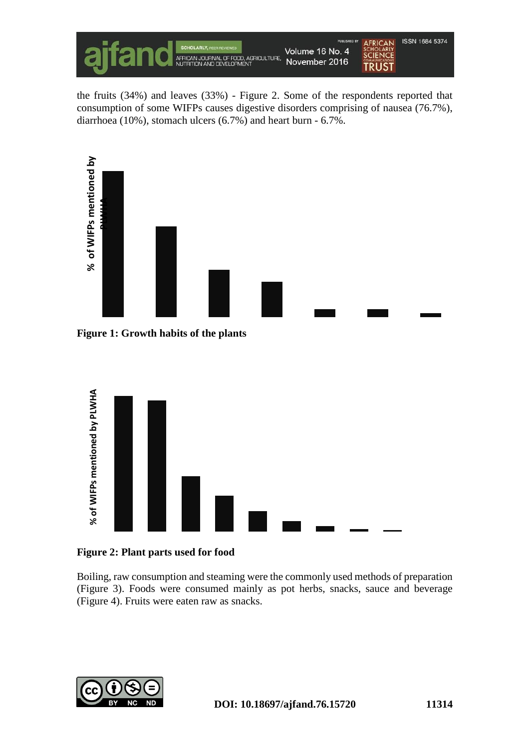

the fruits (34%) and leaves (33%) - Figure 2. Some of the respondents reported that consumption of some WIFPs causes digestive disorders comprising of nausea (76.7%), diarrhoea (10%), stomach ulcers (6.7%) and heart burn - 6.7%.



**Figure 1: Growth habits of the plants**



**Figure 2: Plant parts used for food**

Boiling, raw consumption and steaming were the commonly used methods of preparation (Figure 3). Foods were consumed mainly as pot herbs, snacks, sauce and beverage

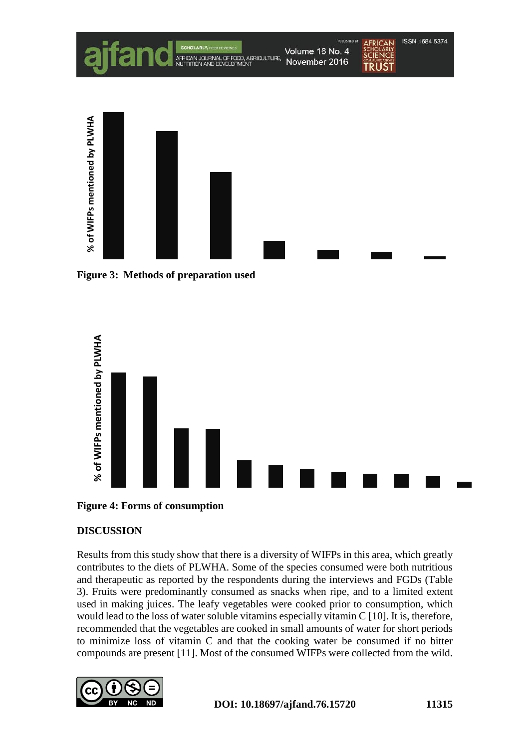

**Figure 3: Methods of preparation used**





# **DISCUSSION**

Results from this study show that there is a diversity of WIFPs in this area, which greatly contributes to the diets of PLWHA. Some of the species consumed were both nutritious and therapeutic as reported by the respondents during the interviews and FGDs (Table 3). Fruits were predominantly consumed as snacks when ripe, and to a limited extent used in making juices. The leafy vegetables were cooked prior to consumption, which would lead to the loss of water soluble vitamins especially vitamin C [10]. It is, therefore, recommended that the vegetables are cooked in small amounts of water for short periods to minimize loss of vitamin C and that the cooking water be consumed if no bitter

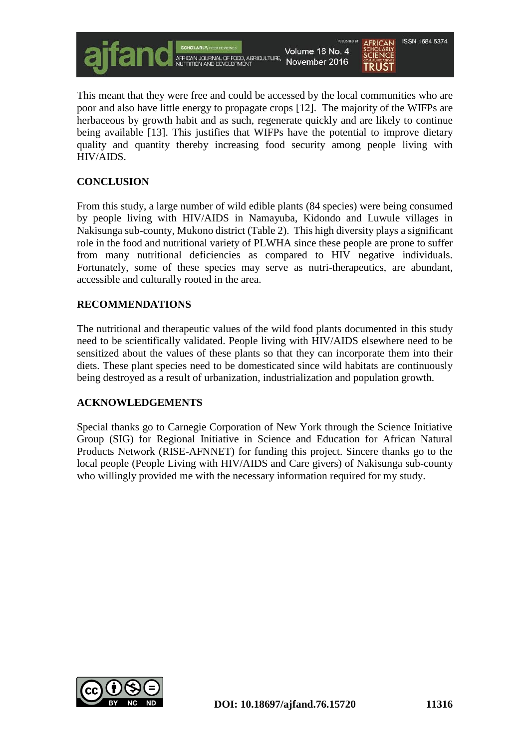

This meant that they were free and could be accessed by the local communities who are poor and also have little energy to propagate crops [12]. The majority of the WIFPs are herbaceous by growth habit and as such, regenerate quickly and are likely to continue being available [13]. This justifies that WIFPs have the potential to improve dietary quality and quantity thereby increasing food security among people living with HIV/AIDS.

# **CONCLUSION**

From this study, a large number of wild edible plants (84 species) were being consumed by people living with HIV/AIDS in Namayuba, Kidondo and Luwule villages in Nakisunga sub-county, Mukono district (Table 2). This high diversity plays a significant role in the food and nutritional variety of PLWHA since these people are prone to suffer from many nutritional deficiencies as compared to HIV negative individuals. Fortunately, some of these species may serve as nutri-therapeutics, are abundant, accessible and culturally rooted in the area.

# **RECOMMENDATIONS**

The nutritional and therapeutic values of the wild food plants documented in this study need to be scientifically validated. People living with HIV/AIDS elsewhere need to be sensitized about the values of these plants so that they can incorporate them into their diets. These plant species need to be domesticated since wild habitats are continuously being destroyed as a result of urbanization, industrialization and population growth.

### **ACKNOWLEDGEMENTS**

Special thanks go to Carnegie Corporation of New York through the Science Initiative Group (SIG) for Regional Initiative in Science and Education for African Natural Products Network (RISE-AFNNET) for funding this project. Sincere thanks go to the local people (People Living with HIV/AIDS and Care givers) of Nakisunga sub-county who willingly provided me with the necessary information required for my study.

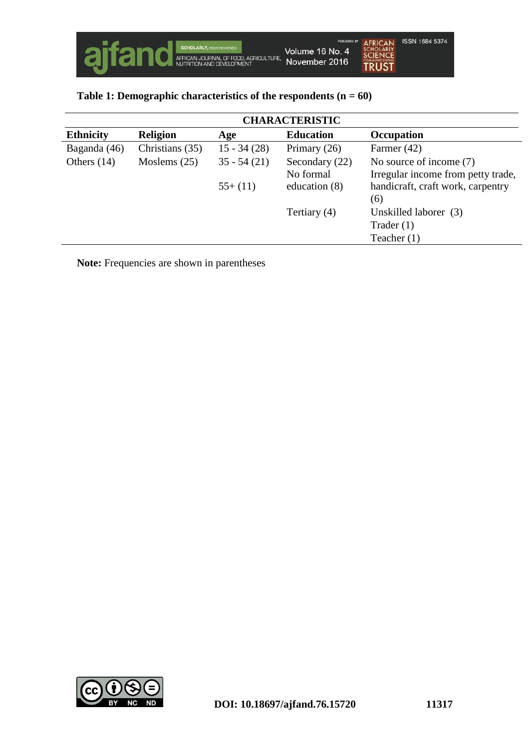|  | Table 1: Demographic characteristics of the respondents $(n = 60)$ |  |  |
|--|--------------------------------------------------------------------|--|--|

| <b>CHARACTERISTIC</b> |                 |               |                  |                                    |  |  |
|-----------------------|-----------------|---------------|------------------|------------------------------------|--|--|
| <b>Ethnicity</b>      | <b>Religion</b> | Age           | <b>Education</b> | <b>Occupation</b>                  |  |  |
| Baganda (46)          | Christians (35) | $15 - 34(28)$ | Primary $(26)$   | Farmer $(42)$                      |  |  |
| Others $(14)$         | Moslems $(25)$  | $35 - 54(21)$ | Secondary (22)   | No source of income (7)            |  |  |
|                       |                 |               | No formal        | Irregular income from petty trade, |  |  |
|                       |                 | $55+(11)$     | education $(8)$  | handicraft, craft work, carpentry  |  |  |
|                       |                 |               |                  | (6)                                |  |  |
|                       |                 |               | Tertiary $(4)$   | Unskilled laborer (3)              |  |  |
|                       |                 |               |                  | Trader $(1)$                       |  |  |
|                       |                 |               |                  | Teacher $(1)$                      |  |  |

**Note:** Frequencies are shown in parentheses

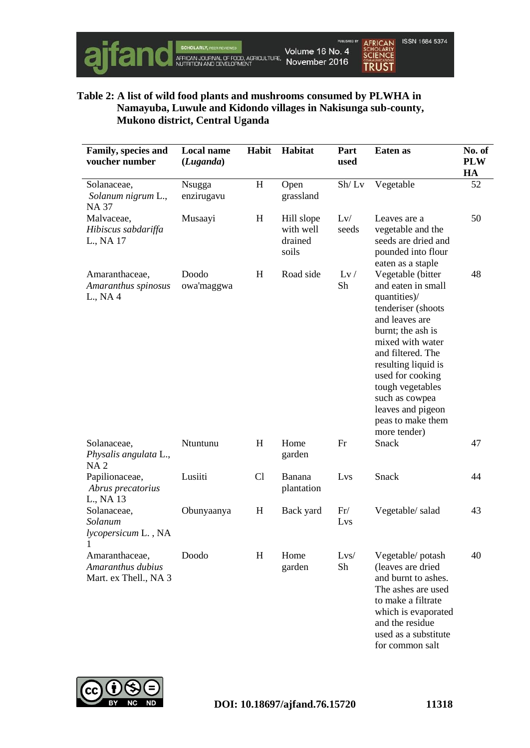

# **Table 2: A list of wild food plants and mushrooms consumed by PLWHA in Namayuba, Luwule and Kidondo villages in Nakisunga sub-county, Mukono district, Central Uganda**

| <b>Family, species and</b><br>voucher number                 | <b>Local name</b><br>(Luganda) | Habit | Habitat                                     | Part<br>used | Eaten as                                                                                                                                                                                                                                                                                                 | No. of<br><b>PLW</b><br>HA |
|--------------------------------------------------------------|--------------------------------|-------|---------------------------------------------|--------------|----------------------------------------------------------------------------------------------------------------------------------------------------------------------------------------------------------------------------------------------------------------------------------------------------------|----------------------------|
| Solanaceae,<br>Solanum nigrum L.,<br>NA 37                   | <b>N</b> sugga<br>enzirugavu   | H     | Open<br>grassland                           | Sh/Lv        | Vegetable                                                                                                                                                                                                                                                                                                | 52                         |
| Malvaceae,<br>Hibiscus sabdariffa<br>L., NA 17               | Musaayi                        | H     | Hill slope<br>with well<br>drained<br>soils | Lv/<br>seeds | Leaves are a<br>vegetable and the<br>seeds are dried and<br>pounded into flour<br>eaten as a staple                                                                                                                                                                                                      | 50                         |
| Amaranthaceae,<br>Amaranthus spinosus<br>L., NA 4            | Doodo<br>owa'maggwa            | H     | Road side                                   | Lv/<br>Sh    | Vegetable (bitter<br>and eaten in small<br>quantities)/<br>tenderiser (shoots<br>and leaves are<br>burnt; the ash is<br>mixed with water<br>and filtered. The<br>resulting liquid is<br>used for cooking<br>tough vegetables<br>such as cowpea<br>leaves and pigeon<br>peas to make them<br>more tender) | 48                         |
| Solanaceae,<br>Physalis angulata L.,<br>NA <sub>2</sub>      | Ntuntunu                       | H     | Home<br>garden                              | Fr           | Snack                                                                                                                                                                                                                                                                                                    | 47                         |
| Papilionaceae,<br>Abrus precatorius<br>L., NA 13             | Lusiiti                        | Cl    | Banana<br>plantation                        | Lvs          | Snack                                                                                                                                                                                                                                                                                                    | 44                         |
| Solanaceae,<br>Solanum<br>lycopersicum L., NA                | Obunyaanya                     | H     | Back yard                                   | Fr/<br>Lvs   | Vegetable/salad                                                                                                                                                                                                                                                                                          | 43                         |
| Amaranthaceae,<br>Amaranthus dubius<br>Mart. ex Thell., NA 3 | Doodo                          | H     | Home<br>garden                              | Lvs/<br>Sh   | Vegetable/potash<br>(leaves are dried<br>and burnt to ashes.<br>The ashes are used<br>to make a filtrate<br>which is evaporated<br>and the residue<br>used as a substitute                                                                                                                               | 40                         |



for common salt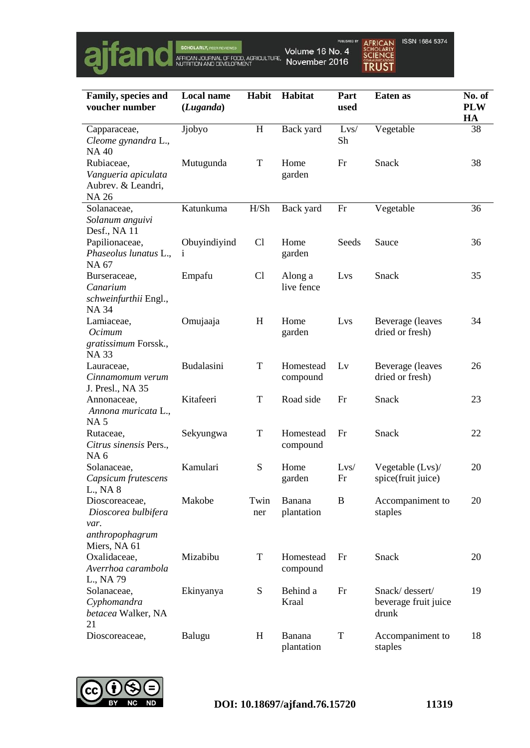

| Family, species and<br>voucher number                                            | <b>Local name</b><br>(Luganda) | Habit       | Habitat               | Part<br>used | Eaten as                                        | No. of<br><b>PLW</b><br>HA |
|----------------------------------------------------------------------------------|--------------------------------|-------------|-----------------------|--------------|-------------------------------------------------|----------------------------|
| Capparaceae,<br>Cleome gynandra L.,<br><b>NA40</b>                               | Jjobyo                         | $H_{\rm}$   | Back yard             | Lvs/<br>Sh   | Vegetable                                       | 38                         |
| Rubiaceae,<br>Vangueria apiculata<br>Aubrev. & Leandri,<br><b>NA 26</b>          | Mutugunda                      | $\mathbf T$ | Home<br>garden        | Fr           | Snack                                           | 38                         |
| Solanaceae,<br>Solanum anguivi<br>Desf., NA 11                                   | Katunkuma                      | H/Sh        | Back yard             | Fr           | Vegetable                                       | 36                         |
| Papilionaceae,<br>Phaseolus lunatus L.,<br>NA 67                                 | Obuyindiyind<br>$\mathbf{1}$   | Cl          | Home<br>garden        | Seeds        | Sauce                                           | 36                         |
| Burseraceae,<br>Canarium<br>schweinfurthii Engl.,<br><b>NA 34</b>                | Empafu                         | Cl          | Along a<br>live fence | Lvs          | Snack                                           | 35                         |
| Lamiaceae,<br>Ocimum<br>gratissimum Forssk.,<br><b>NA33</b>                      | Omujaaja                       | H           | Home<br>garden        | Lvs          | Beverage (leaves<br>dried or fresh)             | 34                         |
| Lauraceae,<br>Cinnamomum verum<br>J. Presl., NA 35                               | Budalasini                     | $\mathbf T$ | Homestead<br>compound | Lv           | Beverage (leaves<br>dried or fresh)             | 26                         |
| Annonaceae,<br>Annona muricata L.,<br><b>NA5</b>                                 | Kitafeeri                      | T           | Road side             | Fr           | Snack                                           | 23                         |
| Rutaceae,<br>Citrus sinensis Pers.,<br>NA <sub>6</sub>                           | Sekyungwa                      | $\mathbf T$ | Homestead<br>compound | Fr           | Snack                                           | 22                         |
| Solanaceae,<br>Capsicum frutescens<br>L., NA 8                                   | Kamulari                       | S           | Home<br>garden        | Lvs/<br>Fr   | Vegetable (Lvs)/<br>spice(fruit juice)          | 20                         |
| Dioscoreaceae,<br>Dioscorea bulbifera<br>var.<br>anthropophagrum<br>Miers, NA 61 | Makobe                         | Twin<br>ner | Banana<br>plantation  | B            | Accompaniment to<br>staples                     | 20                         |
| Oxalidaceae,<br>Averrhoa carambola<br>L., NA 79                                  | Mizabibu                       | $\mathbf T$ | Homestead<br>compound | Fr           | Snack                                           | 20                         |
| Solanaceae,<br>Cyphomandra<br>betacea Walker, NA<br>21                           | Ekinyanya                      | ${\bf S}$   | Behind a<br>Kraal     | Fr           | Snack/dessert/<br>beverage fruit juice<br>drunk | 19                         |
| Dioscoreaceae,                                                                   | Balugu                         | $H_{\rm}$   | Banana<br>plantation  | $\mathbf T$  | Accompaniment to<br>staples                     | 18                         |

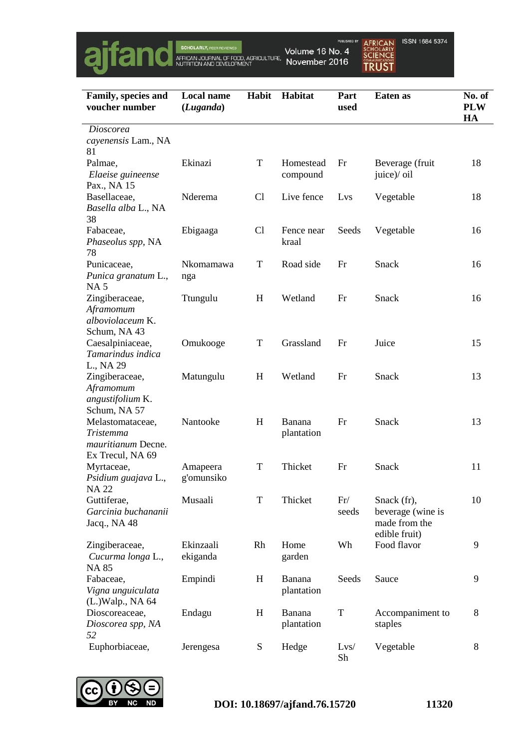

AFRICAN<br>SCHOLARLY<br>SCIENCE<br>TRUST ISSN 1684 5374

| Family, species and<br>voucher number                                   | <b>Local name</b><br>Habit<br>Habitat<br>(Luganda) |             | Part<br>used          | Eaten as     | No. of<br><b>PLW</b><br>HA                                         |    |
|-------------------------------------------------------------------------|----------------------------------------------------|-------------|-----------------------|--------------|--------------------------------------------------------------------|----|
| Dioscorea<br>cayenensis Lam., NA                                        |                                                    |             |                       |              |                                                                    |    |
| 81                                                                      |                                                    |             |                       |              |                                                                    |    |
| Palmae,<br>Elaeise guineense<br>Pax., NA 15                             | Ekinazi                                            | T           | Homestead<br>compound | Fr           | Beverage (fruit<br>juice)/ oil                                     | 18 |
| Basellaceae,<br>Basella alba L., NA                                     | Nderema                                            | Cl          | Live fence            | Lys          | Vegetable                                                          | 18 |
| 38<br>Fabaceae,<br>Phaseolus spp, NA<br>78                              | Ebigaaga                                           | Cl          | Fence near<br>kraal   | Seeds        | Vegetable                                                          | 16 |
| Punicaceae,<br>Punica granatum L.,                                      | Nkomamawa<br>nga                                   | T           | Road side             | Fr           | Snack                                                              | 16 |
| <b>NA5</b><br>Zingiberaceae,<br>Aframomum<br>alboviolaceum K.           | Ttungulu                                           | H           | Wetland               | Fr           | Snack                                                              | 16 |
| Schum, NA 43<br>Caesalpiniaceae,<br>Tamarindus indica<br>L., NA 29      | Omukooge                                           | $\mathbf T$ | Grassland             | Fr           | Juice                                                              | 15 |
| Zingiberaceae,<br>Aframomum<br>angustifolium K.<br>Schum, NA 57         | Matungulu                                          | H           | Wetland               | Fr           | Snack                                                              | 13 |
| Melastomataceae,<br>Tristemma<br>mauritianum Decne.<br>Ex Trecul, NA 69 | Nantooke                                           | H           | Banana<br>plantation  | Fr           | Snack                                                              | 13 |
| Myrtaceae,<br>Psidium guajava L.,<br><b>NA22</b>                        | Amapeera<br>g'omunsiko                             | $\mathbf T$ | Thicket               | Fr           | Snack                                                              | 11 |
| Guttiferae,<br>Garcinia buchananii<br>Jacq., NA 48                      | Musaali                                            | T           | Thicket               | Fr/<br>seeds | Snack (fr),<br>beverage (wine is<br>made from the<br>edible fruit) | 10 |
| Zingiberaceae,<br>Cucurma longa L.,<br><b>NA 85</b>                     | Ekinzaali<br>ekiganda                              | Rh          | Home<br>garden        | Wh           | Food flavor                                                        | 9  |
| Fabaceae,<br>Vigna unguiculata<br>(L.)Walp., NA 64                      | Empindi                                            | $H_{\rm}$   | Banana<br>plantation  | Seeds        | Sauce                                                              | 9  |
| Dioscoreaceae,<br>Dioscorea spp, NA<br>52                               | Endagu                                             | H           | Banana<br>plantation  | $\mathbf T$  | Accompaniment to<br>staples                                        | 8  |
| Euphorbiaceae,                                                          | Jerengesa                                          | ${\bf S}$   | Hedge                 | Lvs/<br>Sh   | Vegetable                                                          | 8  |

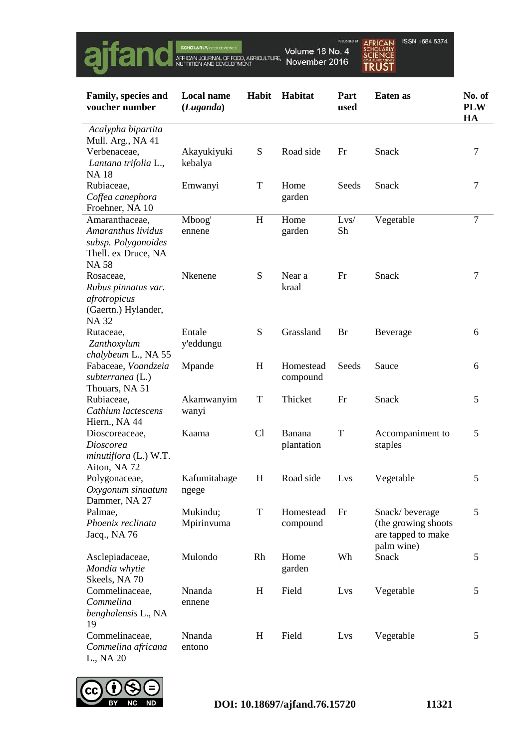

AFRICAN<br>SCHOLARLY<br>SCIENCE<br>TRUST ISSN 1684 5374

| Family, species and<br>voucher number      | <b>Local name</b><br>(Luganda) | Habit       | Habitat    | Part<br>used | Eaten as            | No. of<br><b>PLW</b><br>HA |  |
|--------------------------------------------|--------------------------------|-------------|------------|--------------|---------------------|----------------------------|--|
| Acalypha bipartita                         |                                |             |            |              |                     |                            |  |
| Mull. Arg., NA 41                          |                                |             |            |              |                     |                            |  |
| Verbenaceae,                               | Akayukiyuki                    | ${\bf S}$   | Road side  | Fr           | Snack               | 7                          |  |
| Lantana trifolia L.,                       | kebalya                        |             |            |              |                     |                            |  |
| <b>NA18</b>                                |                                |             |            |              |                     |                            |  |
| Rubiaceae,                                 | Emwanyi                        | T           | Home       | Seeds        | Snack               | 7                          |  |
| Coffea canephora                           |                                |             | garden     |              |                     |                            |  |
| Froehner, NA 10                            |                                |             |            |              |                     |                            |  |
| Amaranthaceae,<br>Amaranthus lividus       | Mboog'                         | H           | Home       | Lvs/<br>Sh   | Vegetable           | $\overline{7}$             |  |
|                                            | ennene                         |             | garden     |              |                     |                            |  |
| subsp. Polygonoides<br>Thell. ex Druce, NA |                                |             |            |              |                     |                            |  |
| <b>NA58</b>                                |                                |             |            |              |                     |                            |  |
| Rosaceae,                                  | Nkenene                        | S           | Near a     | Fr           | Snack               | 7                          |  |
| Rubus pinnatus var.                        |                                |             | kraal      |              |                     |                            |  |
| afrotropicus                               |                                |             |            |              |                     |                            |  |
| (Gaertn.) Hylander,                        |                                |             |            |              |                     |                            |  |
| <b>NA32</b>                                |                                |             |            |              |                     |                            |  |
| Rutaceae,                                  | Entale                         | S           | Grassland  | Br           | Beverage            | 6                          |  |
| Zanthoxylum                                | y'eddungu                      |             |            |              |                     |                            |  |
| chalybeum L., NA 55                        |                                |             |            |              |                     |                            |  |
| Fabaceae, Voandzeia                        | Mpande                         | H           | Homestead  | Seeds        | Sauce               | 6                          |  |
| subterranea (L.)                           |                                |             | compound   |              |                     |                            |  |
| Thouars, NA 51                             |                                |             |            |              |                     |                            |  |
| Rubiaceae,<br>Cathium lactescens           | Akamwanyim                     | T           | Thicket    | Fr           | Snack               | 5                          |  |
| Hiern., NA 44                              | wanyi                          |             |            |              |                     |                            |  |
| Dioscoreaceae,                             | Kaama                          | Cl          | Banana     | T            | Accompaniment to    | 5                          |  |
| Dioscorea                                  |                                |             | plantation |              | staples             |                            |  |
| minutiflora (L.) W.T.                      |                                |             |            |              |                     |                            |  |
| Aiton, NA 72                               |                                |             |            |              |                     |                            |  |
| Polygonaceae,                              | Kafumitabage                   | H           | Road side  | Lys          | Vegetable           | 5                          |  |
| Oxygonum sinuatum                          | ngege                          |             |            |              |                     |                            |  |
| Dammer, NA 27                              |                                |             |            |              |                     |                            |  |
| Palmae,                                    | Mukindu;                       | $\mathbf T$ | Homestead  | Fr           | Snack/beverage      | 5                          |  |
| Phoenix reclinata                          | Mpirinvuma                     |             | compound   |              | (the growing shoots |                            |  |
| Jacq., NA 76                               |                                |             |            |              | are tapped to make  |                            |  |
|                                            |                                |             |            |              | palm wine)          |                            |  |
| Asclepiadaceae,                            | Mulondo                        | Rh          | Home       | Wh           | Snack               | 5                          |  |
| Mondia whytie                              |                                |             | garden     |              |                     |                            |  |
| Skeels, NA 70<br>Commelinaceae,            | Nnanda                         | H           | Field      | Lvs          | Vegetable           | 5                          |  |
| Commelina                                  | ennene                         |             |            |              |                     |                            |  |
| benghalensis L., NA                        |                                |             |            |              |                     |                            |  |
| 19                                         |                                |             |            |              |                     |                            |  |
| Commelinaceae,                             | Nnanda                         | H           | Field      | Lys          | Vegetable           | 5                          |  |
| Commelina africana                         | entono                         |             |            |              |                     |                            |  |
| L., NA 20                                  |                                |             |            |              |                     |                            |  |

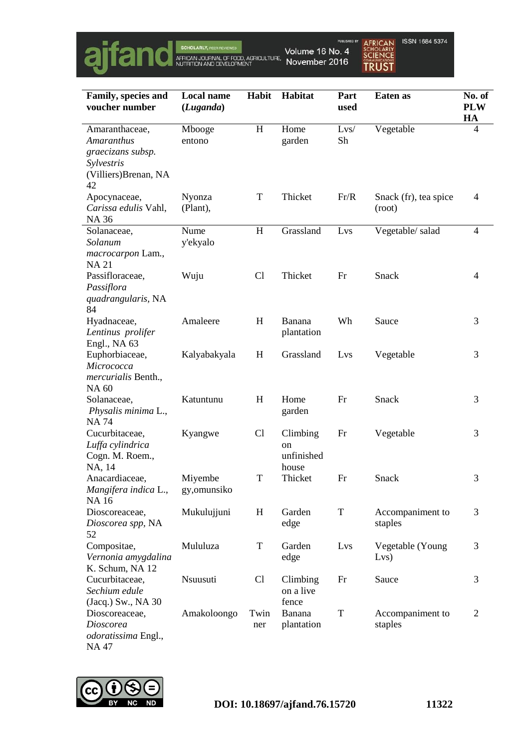

| Family, species and                                                                            | <b>Local name</b>       | <b>Habit</b> | <b>Habitat</b>                        | Part        | Eaten as                        | No. of           |
|------------------------------------------------------------------------------------------------|-------------------------|--------------|---------------------------------------|-------------|---------------------------------|------------------|
| voucher number                                                                                 | (Luganda)               |              |                                       | used        |                                 | <b>PLW</b><br>HA |
| Amaranthaceae,<br>Amaranthus<br>graecizans subsp.<br>Sylvestris<br>(Villiers) Brenan, NA<br>42 | Mbooge<br>entono        | H            | Home<br>garden                        | Lvs/<br>Sh  | Vegetable                       | 4                |
| Apocynaceae,<br>Carissa edulis Vahl,<br><b>NA 36</b>                                           | Nyonza<br>(Plant),      | $\mathbf T$  | Thicket                               | Fr/R        | Snack (fr), tea spice<br>(root) | 4                |
| Solanaceae,<br>Solanum<br>macrocarpon Lam.,<br><b>NA21</b>                                     | Nume<br>y'ekyalo        | H            | Grassland                             | Lvs         | Vegetable/salad                 | $\overline{4}$   |
| Passifloraceae,<br>Passiflora<br>quadrangularis, NA<br>84                                      | Wuju                    | Cl           | Thicket                               | Fr          | Snack                           | 4                |
| Hyadnaceae,<br>Lentinus prolifer<br>Engl., NA 63                                               | Amaleere                | H            | Banana<br>plantation                  | Wh          | Sauce                           | 3                |
| Euphorbiaceae,<br>Micrococca<br>mercurialis Benth.,<br><b>NA 60</b>                            | Kalyabakyala            | H            | Grassland                             | Lvs         | Vegetable                       | 3                |
| Solanaceae,<br>Physalis minima L.,<br><b>NA74</b>                                              | Katuntunu               | H            | Home<br>garden                        | Fr          | Snack                           | 3                |
| Cucurbitaceae,<br>Luffa cylindrica<br>Cogn. M. Roem.,<br>NA, 14                                | Kyangwe                 | Cl           | Climbing<br>on<br>unfinished<br>house | Fr          | Vegetable                       | 3                |
| Anacardiaceae,<br>Mangifera indica L.,<br><b>NA16</b>                                          | Miyembe<br>gy, omunsiko | $\mathbf T$  | Thicket                               | Fr          | Snack                           | 3                |
| Dioscoreaceae,<br>Dioscorea spp, NA<br>52                                                      | Mukulujjuni             | H            | Garden<br>edge                        | $\mathbf T$ | Accompaniment to<br>staples     | 3                |
| Compositae,<br>Vernonia amygdalina<br>K. Schum, NA 12                                          | Mululuza                | $\mathbf T$  | Garden<br>edge                        | Lvs         | Vegetable (Young<br>Lvs)        | 3                |
| Cucurbitaceae,<br>Sechium edule<br>(Jacq.) Sw., NA 30                                          | Nsuusuti                | Cl           | Climbing<br>on a live<br>fence        | Fr          | Sauce                           | 3                |
| Dioscoreaceae,<br>Dioscorea<br>odoratissima Engl.,<br>NA 47                                    | Amakoloongo             | Twin<br>ner  | Banana<br>plantation                  | T           | Accompaniment to<br>staples     | $\overline{2}$   |

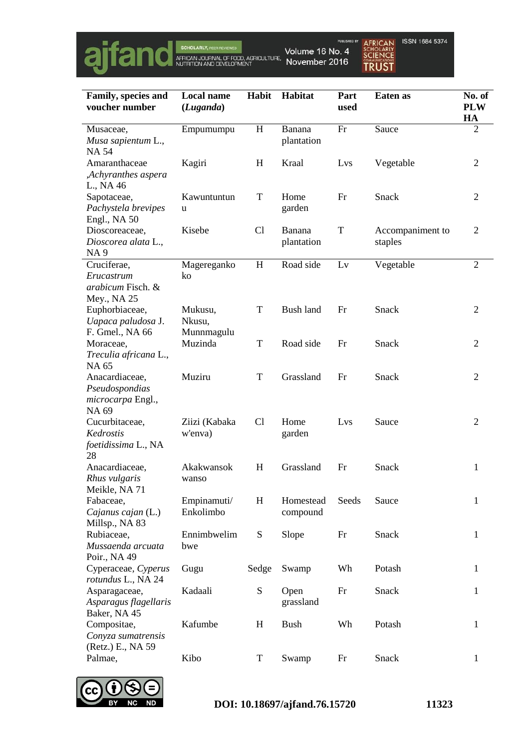

AFRICAN<br>SCHOLARLY<br>SCIENCE<br>TRUST ISSN 1684 5374

| Family, species and<br>voucher number                          | <b>Local name</b><br>(Luganda)  | <b>Habit</b> | <b>Habitat</b>        | Part<br>used | Eaten as                    | No. of<br><b>PLW</b><br>HA |
|----------------------------------------------------------------|---------------------------------|--------------|-----------------------|--------------|-----------------------------|----------------------------|
| Musaceae,<br>Musa sapientum L.,<br><b>NA54</b>                 | Empumumpu                       | H            | Banana<br>plantation  | Fr           | Sauce                       | $\overline{2}$             |
| Amaranthaceae<br>,Achyranthes aspera<br>L., NA 46              | Kagiri                          | H            | Kraal                 | Lvs          | Vegetable                   | 2                          |
| Sapotaceae,<br>Pachystela brevipes<br>Engl., NA 50             | Kawuntuntun<br>u                | $\mathbf T$  | Home<br>garden        | Fr           | Snack                       | $\overline{2}$             |
| Dioscoreaceae,<br>Dioscorea alata L.,<br><b>NA9</b>            | Kisebe                          | Cl           | Banana<br>plantation  | T            | Accompaniment to<br>staples | $\overline{2}$             |
| Cruciferae,<br>Erucastrum<br>arabicum Fisch. &<br>Mey., NA 25  | Magereganko<br>ko               | H            | Road side             | Lv           | Vegetable                   | $\overline{2}$             |
| Euphorbiaceae,<br>Uapaca paludosa J.<br>F. Gmel., NA 66        | Mukusu,<br>Nkusu,<br>Munnmagulu | $\mathbf T$  | <b>Bush land</b>      | Fr           | Snack                       | $\overline{2}$             |
| Moraceae,<br>Treculia africana L.,<br>NA 65                    | Muzinda                         | $\mathbf T$  | Road side             | Fr           | Snack                       | $\overline{2}$             |
| Anacardiaceae,<br>Pseudospondias<br>microcarpa Engl.,<br>NA 69 | Muziru                          | T            | Grassland             | Fr           | Snack                       | 2                          |
| Cucurbitaceae,<br>Kedrostis<br>foetidissima L., NA<br>28       | Ziizi (Kabaka<br>w'enva)        | Cl           | Home<br>garden        | Lys          | Sauce                       | $\overline{2}$             |
| Anacardiaceae,<br>Rhus vulgaris<br>Meikle, NA 71               | Akakwansok<br>wanso             | H            | Grassland             | Fr           | Snack                       | 1                          |
| Fabaceae,<br>Cajanus cajan (L.)<br>Millsp., NA 83              | Empinamuti/<br>Enkolimbo        | H            | Homestead<br>compound | Seeds        | Sauce                       | 1                          |
| Rubiaceae,<br>Mussaenda arcuata<br>Poir., NA 49                | Ennimbwelim<br>bwe              | ${\bf S}$    | Slope                 | Fr           | Snack                       | 1                          |
| Cyperaceae, Cyperus<br>rotundus L., NA 24                      | Gugu                            | Sedge        | Swamp                 | Wh           | Potash                      | 1                          |
| Asparagaceae,<br>Asparagus flagellaris<br>Baker, NA 45         | Kadaali                         | ${\bf S}$    | Open<br>grassland     | Fr           | Snack                       | 1                          |
| Compositae,<br>Conyza sumatrensis<br>(Retz.) E., NA 59         | Kafumbe                         | H            | <b>Bush</b>           | Wh           | Potash                      | 1                          |
| Palmae,                                                        | Kibo                            | T            | Swamp                 | Fr           | Snack                       | 1                          |

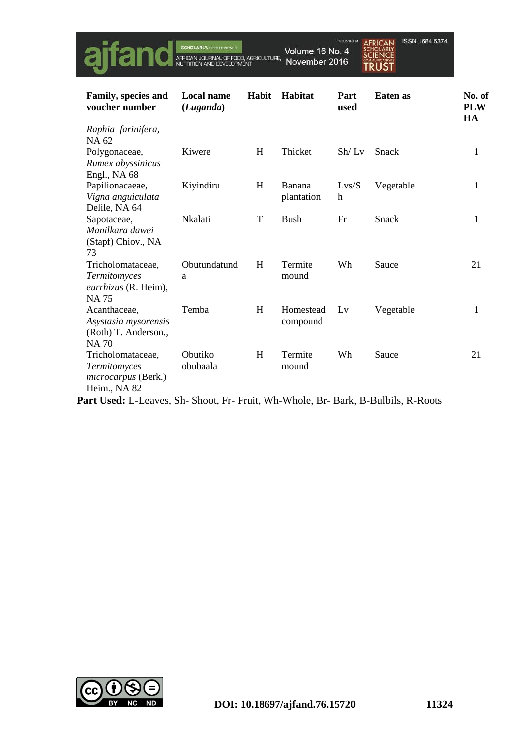

ISSN 1684 5374 **AFRICAN SCHOLARLY**<br>**SCIENCE TRUST** 

| Family, species and<br>voucher number | <b>Local name</b><br>(Luganda) | Habit | Habitat     | Part<br>used | <b>Eaten</b> as | No. of<br><b>PLW</b><br>HA |
|---------------------------------------|--------------------------------|-------|-------------|--------------|-----------------|----------------------------|
| Raphia farinifera,                    |                                |       |             |              |                 |                            |
| NA 62                                 |                                |       |             |              |                 |                            |
| Polygonaceae,                         | Kiwere                         | H     | Thicket     | Sh/Lv        | Snack           | 1                          |
| Rumex abyssinicus                     |                                |       |             |              |                 |                            |
| Engl., NA 68                          |                                |       |             |              |                 |                            |
| Papilionacaeae,                       | Kiyindiru                      | H     | Banana      | Lvs/S        | Vegetable       | 1                          |
| Vigna anguiculata                     |                                |       | plantation  | h            |                 |                            |
| Delile, NA 64                         |                                |       |             |              |                 |                            |
| Sapotaceae,                           | <b>Nkalati</b>                 | T     | <b>Bush</b> | Fr           | Snack           | 1                          |
| Manilkara dawei                       |                                |       |             |              |                 |                            |
| (Stapf) Chiov., NA                    |                                |       |             |              |                 |                            |
| 73                                    |                                |       |             |              |                 |                            |
| Tricholomataceae,                     | Obutundatund                   | H     | Termite     | Wh           | Sauce           | 21                         |
| Termitomyces                          | a                              |       | mound       |              |                 |                            |
| eurrhizus (R. Heim),                  |                                |       |             |              |                 |                            |
| <b>NA75</b>                           |                                |       |             |              |                 |                            |
| Acanthaceae,                          | Temba                          | H     | Homestead   | Lv           | Vegetable       | 1                          |
| Asystasia mysorensis                  |                                |       | compound    |              |                 |                            |
| (Roth) T. Anderson.,<br><b>NA70</b>   |                                |       |             |              |                 |                            |
| Tricholomataceae,                     | Obutiko                        | H     | Termite     | Wh           | Sauce           | 21                         |
| Termitomyces                          | obubaala                       |       | mound       |              |                 |                            |
| <i>microcarpus</i> (Berk.)            |                                |       |             |              |                 |                            |
| Heim., NA 82                          |                                |       |             |              |                 |                            |

**Part Used:** L-Leaves, Sh- Shoot, Fr- Fruit, Wh-Whole, Br- Bark, B-Bulbils, R-Roots

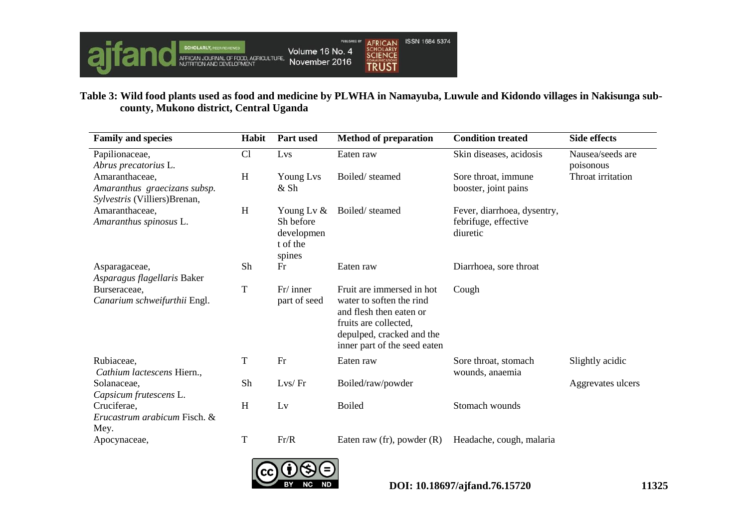

# **Table 3: Wild food plants used as food and medicine by PLWHA in Namayuba, Luwule and Kidondo villages in Nakisunga subcounty, Mukono district, Central Uganda**

| <b>Family and species</b>                                                      | Habit       | <b>Part used</b>                                               | <b>Method of preparation</b>                                                                                                                                           | <b>Condition treated</b>                                        | <b>Side effects</b>           |
|--------------------------------------------------------------------------------|-------------|----------------------------------------------------------------|------------------------------------------------------------------------------------------------------------------------------------------------------------------------|-----------------------------------------------------------------|-------------------------------|
| Papilionaceae,<br>Abrus precatorius L.                                         | Cl          | Lvs                                                            | Eaten raw                                                                                                                                                              | Skin diseases, acidosis                                         | Nausea/seeds are<br>poisonous |
| Amaranthaceae,<br>Amaranthus graecizans subsp.<br>Sylvestris (Villiers)Brenan, | H           | Young Lvs<br>& Sh                                              | Boiled/steamed                                                                                                                                                         | Sore throat, immune<br>booster, joint pains                     | Throat irritation             |
| Amaranthaceae,<br>Amaranthus spinosus L.                                       | H           | Young Lv $\&$<br>Sh before<br>developmen<br>t of the<br>spines | Boiled/steamed                                                                                                                                                         | Fever, diarrhoea, dysentry,<br>febrifuge, effective<br>diuretic |                               |
| Asparagaceae,<br>Asparagus flagellaris Baker                                   | Sh          | Fr                                                             | Eaten raw                                                                                                                                                              | Diarrhoea, sore throat                                          |                               |
| Burseraceae,<br>Canarium schweifurthii Engl.                                   | T           | $Fr/$ inner<br>part of seed                                    | Fruit are immersed in hot<br>water to soften the rind<br>and flesh then eaten or<br>fruits are collected,<br>depulped, cracked and the<br>inner part of the seed eaten | Cough                                                           |                               |
| Rubiaceae,<br>Cathium lactescens Hiern.,                                       | $\mathbf T$ | Fr                                                             | Eaten raw                                                                                                                                                              | Sore throat, stomach<br>wounds, anaemia                         | Slightly acidic               |
| Solanaceae,<br>Capsicum frutescens L.                                          | Sh          | Lvs/Fr                                                         | Boiled/raw/powder                                                                                                                                                      |                                                                 | Aggrevates ulcers             |
| Cruciferae,<br>Erucastrum arabicum Fisch. &<br>Mey.                            | H           | Lv                                                             | <b>Boiled</b>                                                                                                                                                          | Stomach wounds                                                  |                               |
| Apocynaceae,                                                                   | $\mathbf T$ | Fr/R                                                           | Eaten raw (fr), powder $(R)$                                                                                                                                           | Headache, cough, malaria                                        |                               |

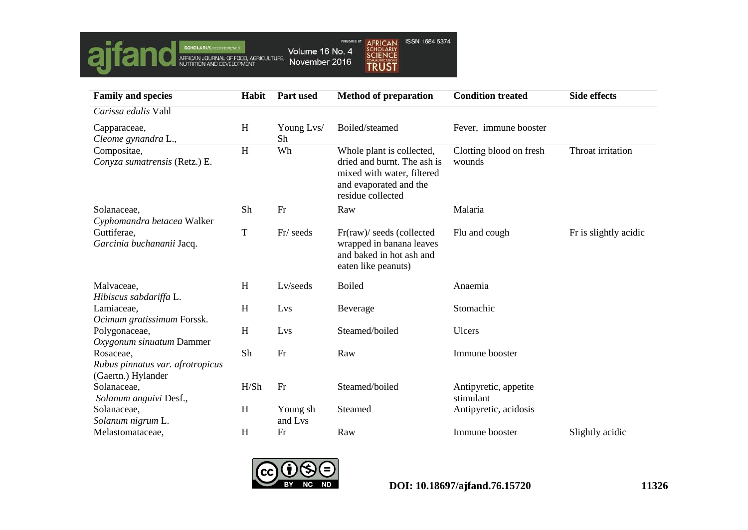

| <b>Family and species</b>                                           | Habit | Part used           | <b>Method of preparation</b>                                                                                                          | <b>Condition treated</b>           | <b>Side effects</b>   |
|---------------------------------------------------------------------|-------|---------------------|---------------------------------------------------------------------------------------------------------------------------------------|------------------------------------|-----------------------|
| Carissa edulis Vahl                                                 |       |                     |                                                                                                                                       |                                    |                       |
| Capparaceae,<br>Cleome gynandra L.,                                 | H     | Young Lvs/<br>Sh    | Boiled/steamed                                                                                                                        | Fever, immune booster              |                       |
| Compositae,<br>Conyza sumatrensis (Retz.) E.                        | H     | Wh                  | Whole plant is collected,<br>dried and burnt. The ash is<br>mixed with water, filtered<br>and evaporated and the<br>residue collected | Clotting blood on fresh<br>wounds  | Throat irritation     |
| Solanaceae,<br>Cyphomandra betacea Walker                           | Sh    | Fr                  | Raw                                                                                                                                   | Malaria                            |                       |
| Guttiferae,<br>Garcinia buchananii Jacq.                            | T     | Fr/ seeds           | Fr(raw)/ seeds (collected<br>wrapped in banana leaves<br>and baked in hot ash and<br>eaten like peanuts)                              | Flu and cough                      | Fr is slightly acidic |
| Malvaceae,<br>Hibiscus sabdariffa L.                                | H     | Lv/seeds            | <b>Boiled</b>                                                                                                                         | Anaemia                            |                       |
| Lamiaceae,<br>Ocimum gratissimum Forssk.                            | H     | Lvs                 | Beverage                                                                                                                              | Stomachic                          |                       |
| Polygonaceae,<br>Oxygonum sinuatum Dammer                           | H     | Lvs                 | Steamed/boiled                                                                                                                        | Ulcers                             |                       |
| Rosaceae,<br>Rubus pinnatus var. afrotropicus<br>(Gaertn.) Hylander | Sh    | Fr                  | Raw                                                                                                                                   | Immune booster                     |                       |
| Solanaceae,<br>Solanum anguivi Desf.,                               | H/Sh  | Fr                  | Steamed/boiled                                                                                                                        | Antipyretic, appetite<br>stimulant |                       |
| Solanaceae,<br>Solanum nigrum L.                                    | H     | Young sh<br>and Lvs | Steamed                                                                                                                               | Antipyretic, acidosis              |                       |
| Melastomataceae,                                                    | H     | Fr                  | Raw                                                                                                                                   | Immune booster                     | Slightly acidic       |

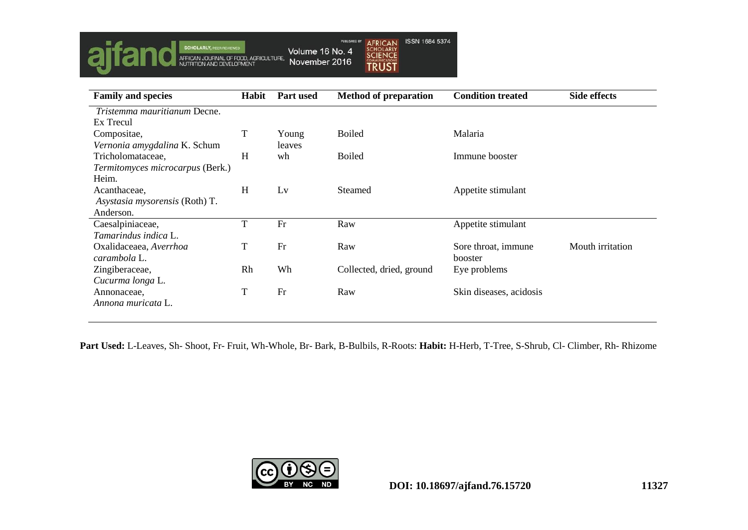

| <b>Family and species</b>        | Habit | <b>Part used</b> | <b>Method of preparation</b> | <b>Condition treated</b> | <b>Side effects</b> |
|----------------------------------|-------|------------------|------------------------------|--------------------------|---------------------|
| Tristemma mauritianum Decne.     |       |                  |                              |                          |                     |
| Ex Trecul                        |       |                  |                              |                          |                     |
| Compositae,                      | T     | Young            | <b>Boiled</b>                | Malaria                  |                     |
| Vernonia amygdalina K. Schum     |       | leaves           |                              |                          |                     |
| Tricholomataceae,                | H     | wh               | <b>Boiled</b>                | Immune booster           |                     |
| Termitomyces microcarpus (Berk.) |       |                  |                              |                          |                     |
| Heim.                            |       |                  |                              |                          |                     |
| Acanthaceae,                     | H     | Lv               | <b>Steamed</b>               | Appetite stimulant       |                     |
| Asystasia mysorensis (Roth) T.   |       |                  |                              |                          |                     |
| Anderson.                        |       |                  |                              |                          |                     |
| Caesalpiniaceae,                 | T     | Fr               | Raw                          | Appetite stimulant       |                     |
| Tamarindus indica L.             |       |                  |                              |                          |                     |
| Oxalidaceaea, Averrhoa           | T     | Fr               | Raw                          | Sore throat, immune      | Mouth irritation    |
| carambola L.                     |       |                  |                              | booster                  |                     |
| Zingiberaceae,                   | Rh    | Wh               | Collected, dried, ground     | Eye problems             |                     |
| Cucurma longa L.                 |       |                  |                              |                          |                     |
| Annonaceae,                      | T     | Fr               | Raw                          | Skin diseases, acidosis  |                     |
| Annona muricata L.               |       |                  |                              |                          |                     |
|                                  |       |                  |                              |                          |                     |

**Part Used:** L-Leaves, Sh- Shoot, Fr- Fruit, Wh-Whole, Br- Bark, B-Bulbils, R-Roots: **Habit:** H-Herb, T-Tree, S-Shrub, Cl- Climber, Rh- Rhizome

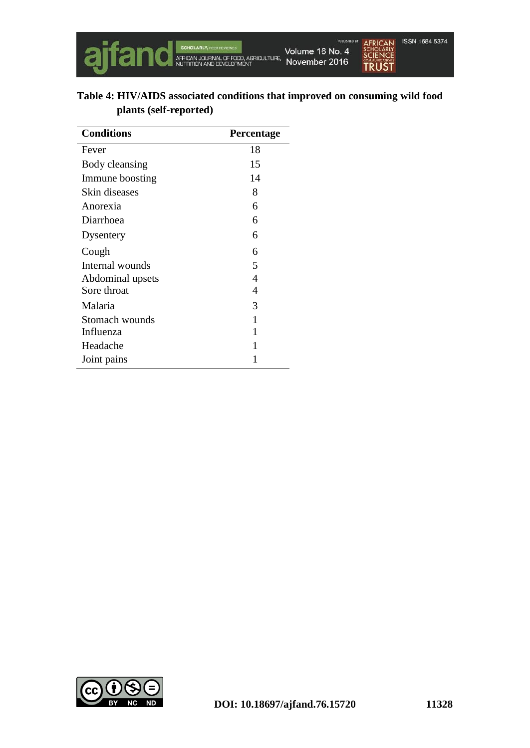

|                        | Table 4: HIV/AIDS associated conditions that improved on consuming wild food |
|------------------------|------------------------------------------------------------------------------|
| plants (self-reported) |                                                                              |

| <b>Conditions</b> | Percentage |
|-------------------|------------|
| Fever             | 18         |
| Body cleansing    | 15         |
| Immune boosting   | 14         |
| Skin diseases     | 8          |
| Anorexia          | 6          |
| Diarrhoea         | 6          |
| Dysentery         | 6          |
| Cough             | 6          |
| Internal wounds   | 5          |
| Abdominal upsets  | 4          |
| Sore throat       | 4          |
| Malaria           | 3          |
| Stomach wounds    | 1          |
| Influenza         | 1          |
| Headache          | 1          |
| Joint pains       | 1          |

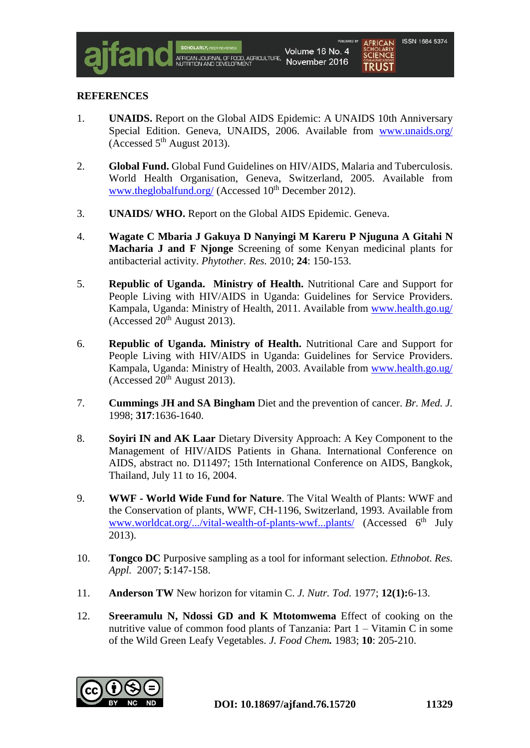#### **REFERENCES**

- 1. **UNAIDS.** Report on the Global AIDS Epidemic: A UNAIDS 10th Anniversary Special Edition. Geneva, UNAIDS, 2006. Available from [www.unaids.org/](http://www.unaids.org/) (Accessed  $5<sup>th</sup>$  August 2013).
- 2. **Global Fund.** Global Fund Guidelines on HIV/AIDS, Malaria and Tuberculosis. World Health Organisation, Geneva, Switzerland, 2005. Available from [www.theglobalfund.org/](http://www.theglobalfund.org/) (Accessed  $10^{th}$  December 2012).
- 3. **UNAIDS/ WHO.** Report on the Global AIDS Epidemic. Geneva.
- 4. **Wagate C Mbaria J Gakuya D Nanyingi M Kareru P Njuguna A Gitahi N Macharia J and F Njonge** Screening of some Kenyan medicinal plants for antibacterial activity. *Phytother. Res.* 2010; **24**: 150-153.
- 5. **Republic of Uganda. Ministry of Health.** Nutritional Care and Support for People Living with HIV/AIDS in Uganda: Guidelines for Service Providers. Kampala, Uganda: Ministry of Health, 2011. Available from [www.health.go.ug/](http://www.health.go.ug/) (Accessed  $20^{th}$  August 2013).
- 6. **Republic of Uganda. Ministry of Health.** Nutritional Care and Support for People Living with HIV/AIDS in Uganda: Guidelines for Service Providers. Kampala, Uganda: Ministry of Health, 2003. Available from [www.health.go.ug/](http://www.health.go.ug/) (Accessed  $20^{th}$  August 2013).
- 7. **Cummings JH and SA Bingham** Diet and the prevention of cancer. *Br. Med. J.* 1998; **317**:1636-1640.
- 8. **Soyiri IN and AK Laar** Dietary Diversity Approach: A Key Component to the Management of HIV/AIDS Patients in Ghana. International Conference on AIDS, abstract no. D11497; 15th International Conference on AIDS, Bangkok, Thailand, July 11 to 16, 2004.
- 9. **WWF - World Wide Fund for Nature**. The Vital Wealth of Plants: WWF and the Conservation of plants, WWF, CH-1196, Switzerland, 1993. Available from [www.worldcat.org/.../vital-wealth-of-plants-wwf...plants/](http://www.worldcat.org/.../vital-wealth-of-plants-wwf...plants/) (Accessed 6<sup>th</sup> July 2013).
- 10. **Tongco DC** Purposive sampling as a tool for informant selection. *Ethnobot. Res. Appl.* 2007; **5**:147-158.
- 11. **Anderson TW** New horizon for vitamin C. *J. Nutr. Tod.* 1977; **12(1):**6-13.
- 12. **Sreeramulu N, Ndossi GD and K Mtotomwema** Effect of cooking on the nutritive value of common food plants of Tanzania: Part 1 – Vitamin C in some of the Wild Green Leafy Vegetables. *J. Food Chem.* 1983; **10**: 205-210.